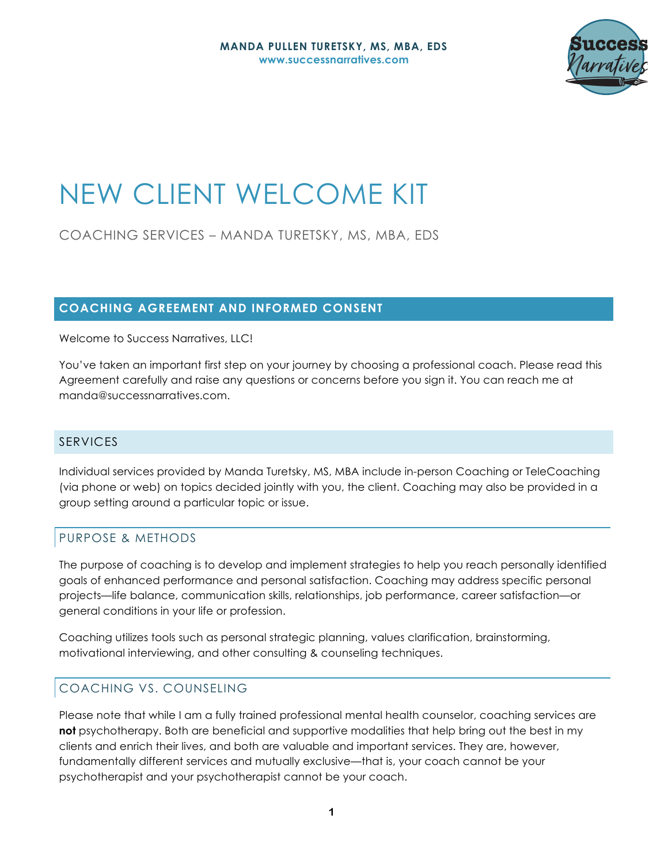

# NEW CLIENT WELCOME KIT

COACHING SERVICES – MANDA TURETSKY, MS, MBA, EDS

# **COACHING AGREEMENT AND INFORMED CONSENT**

Welcome to Success Narratives, LLC!

You've taken an important first step on your journey by choosing a professional coach. Please read this Agreement carefully and raise any questions or concerns before you sign it. You can reach me at manda@successnarratives.com.

## SERVICES

Individual services provided by Manda Turetsky, MS, MBA include in-person Coaching or TeleCoaching (via phone or web) on topics decided jointly with you, the client. Coaching may also be provided in a group setting around a particular topic or issue.

# PURPOSE & METHODS

The purpose of coaching is to develop and implement strategies to help you reach personally identified goals of enhanced performance and personal satisfaction. Coaching may address specific personal projects—life balance, communication skills, relationships, job performance, career satisfaction—or general conditions in your life or profession.

Coaching utilizes tools such as personal strategic planning, values clarification, brainstorming, motivational interviewing, and other consulting & counseling techniques.

# COACHING VS. COUNSELING

Please note that while I am a fully trained professional mental health counselor, coaching services are **not** psychotherapy. Both are beneficial and supportive modalities that help bring out the best in my clients and enrich their lives, and both are valuable and important services. They are, however, fundamentally different services and mutually exclusive—that is, your coach cannot be your psychotherapist and your psychotherapist cannot be your coach.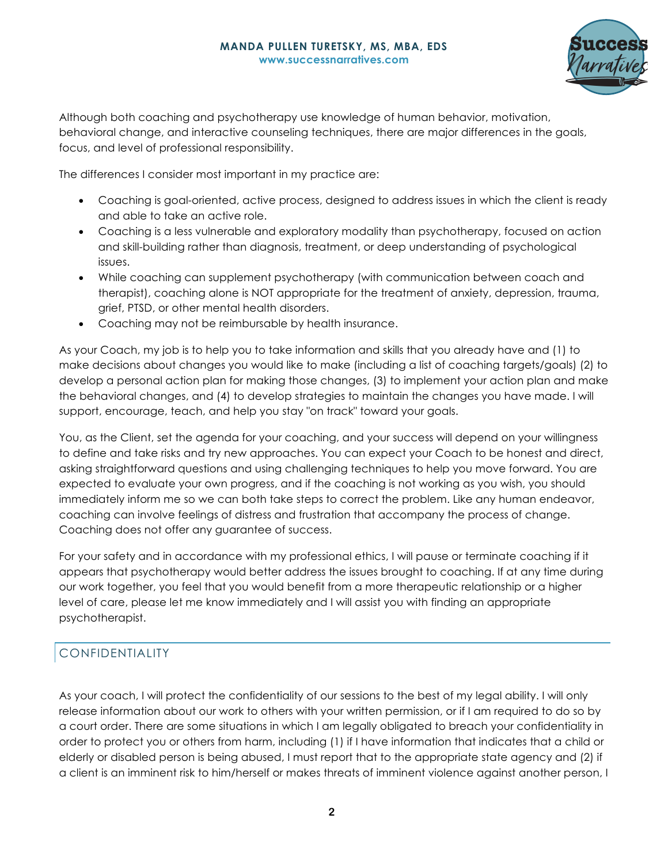

Although both coaching and psychotherapy use knowledge of human behavior, motivation, behavioral change, and interactive counseling techniques, there are major differences in the goals, focus, and level of professional responsibility.

The differences I consider most important in my practice are:

- Coaching is goal-oriented, active process, designed to address issues in which the client is ready and able to take an active role.
- Coaching is a less vulnerable and exploratory modality than psychotherapy, focused on action and skill-building rather than diagnosis, treatment, or deep understanding of psychological issues.
- While coaching can supplement psychotherapy (with communication between coach and therapist), coaching alone is NOT appropriate for the treatment of anxiety, depression, trauma, grief, PTSD, or other mental health disorders.
- Coaching may not be reimbursable by health insurance.

As your Coach, my job is to help you to take information and skills that you already have and (1) to make decisions about changes you would like to make (including a list of coaching targets/goals) (2) to develop a personal action plan for making those changes, (3) to implement your action plan and make the behavioral changes, and (4) to develop strategies to maintain the changes you have made. I will support, encourage, teach, and help you stay "on track" toward your goals.

You, as the Client, set the agenda for your coaching, and your success will depend on your willingness to define and take risks and try new approaches. You can expect your Coach to be honest and direct, asking straightforward questions and using challenging techniques to help you move forward. You are expected to evaluate your own progress, and if the coaching is not working as you wish, you should immediately inform me so we can both take steps to correct the problem. Like any human endeavor, coaching can involve feelings of distress and frustration that accompany the process of change. Coaching does not offer any guarantee of success.

For your safety and in accordance with my professional ethics, I will pause or terminate coaching if it appears that psychotherapy would better address the issues brought to coaching. If at any time during our work together, you feel that you would benefit from a more therapeutic relationship or a higher level of care, please let me know immediately and I will assist you with finding an appropriate psychotherapist.

# CONFIDENTIALITY

As your coach, I will protect the confidentiality of our sessions to the best of my legal ability. I will only release information about our work to others with your written permission, or if I am required to do so by a court order. There are some situations in which I am legally obligated to breach your confidentiality in order to protect you or others from harm, including (1) if I have information that indicates that a child or elderly or disabled person is being abused, I must report that to the appropriate state agency and (2) if a client is an imminent risk to him/herself or makes threats of imminent violence against another person, I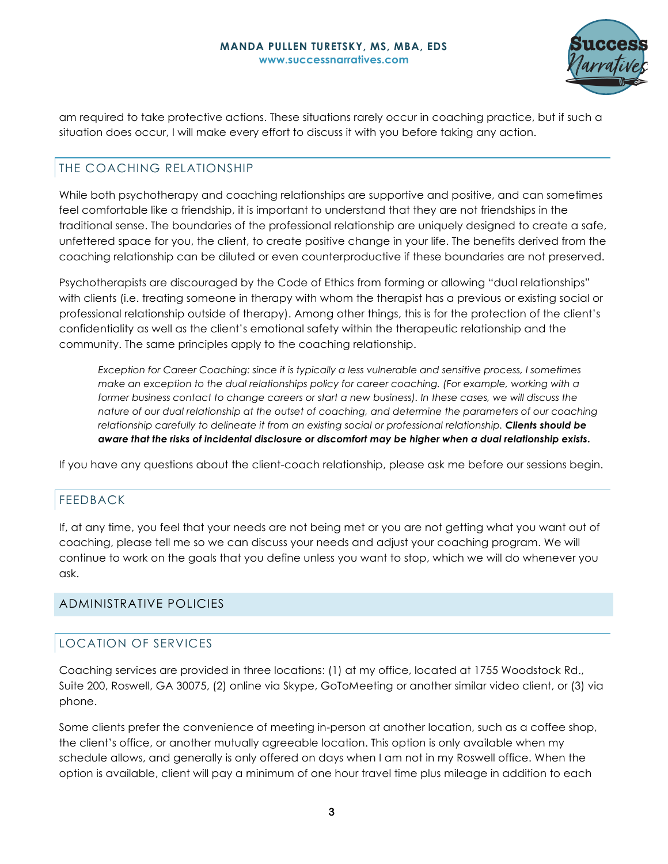

am required to take protective actions. These situations rarely occur in coaching practice, but if such a situation does occur, I will make every effort to discuss it with you before taking any action.

# THE COACHING RELATIONSHIP

While both psychotherapy and coaching relationships are supportive and positive, and can sometimes feel comfortable like a friendship, it is important to understand that they are not friendships in the traditional sense. The boundaries of the professional relationship are uniquely designed to create a safe, unfettered space for you, the client, to create positive change in your life. The benefits derived from the coaching relationship can be diluted or even counterproductive if these boundaries are not preserved.

Psychotherapists are discouraged by the Code of Ethics from forming or allowing "dual relationships" with clients (i.e. treating someone in therapy with whom the therapist has a previous or existing social or professional relationship outside of therapy). Among other things, this is for the protection of the client's confidentiality as well as the client's emotional safety within the therapeutic relationship and the community. The same principles apply to the coaching relationship.

*Exception for Career Coaching: since it is typically a less vulnerable and sensitive process, I sometimes make an exception to the dual relationships policy for career coaching. (For example, working with a former business contact to change careers or start a new business). In these cases, we will discuss the nature of our dual relationship at the outset of coaching, and determine the parameters of our coaching relationship carefully to delineate it from an existing social or professional relationship. Clients should be aware that the risks of incidental disclosure or discomfort may be higher when a dual relationship exists***.**

If you have any questions about the client-coach relationship, please ask me before our sessions begin.

## FEEDBACK

If, at any time, you feel that your needs are not being met or you are not getting what you want out of coaching, please tell me so we can discuss your needs and adjust your coaching program. We will continue to work on the goals that you define unless you want to stop, which we will do whenever you ask.

## ADMINISTRATIVE POLICIES

## LOCATION OF SERVICES

Coaching services are provided in three locations: (1) at my office, located at 1755 Woodstock Rd., Suite 200, Roswell, GA 30075, (2) online via Skype, GoToMeeting or another similar video client, or (3) via phone.

Some clients prefer the convenience of meeting in-person at another location, such as a coffee shop, the client's office, or another mutually agreeable location. This option is only available when my schedule allows, and generally is only offered on days when I am not in my Roswell office. When the option is available, client will pay a minimum of one hour travel time plus mileage in addition to each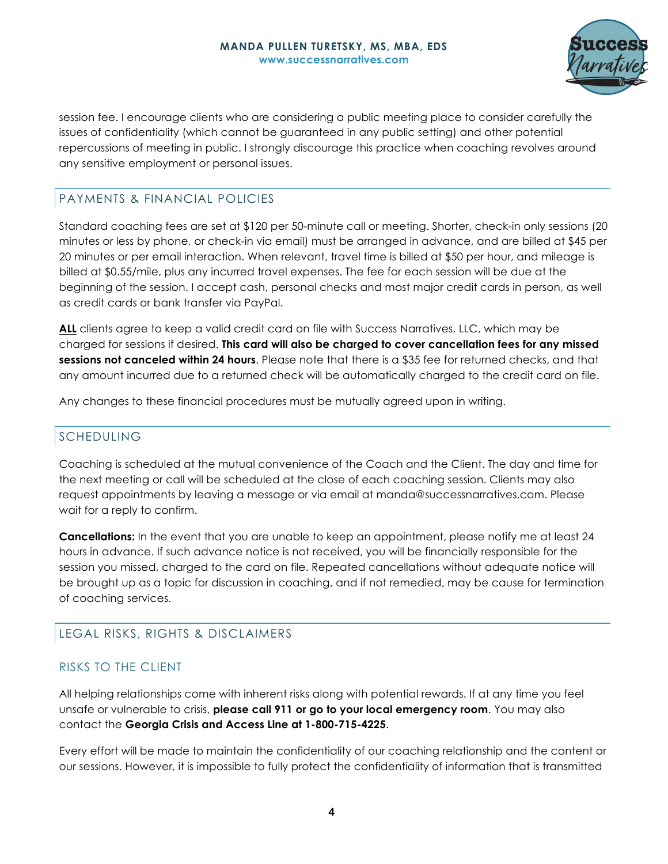

session fee. I encourage clients who are considering a public meeting place to consider carefully the issues of confidentiality (which cannot be guaranteed in any public setting) and other potential repercussions of meeting in public. I strongly discourage this practice when coaching revolves around any sensitive employment or personal issues.

# PAYMENTS & FINANCIAL POLICIES

Standard coaching fees are set at \$120 per 50-minute call or meeting. Shorter, check-in only sessions (20 minutes or less by phone, or check-in via email) must be arranged in advance, and are billed at \$45 per 20 minutes or per email interaction. When relevant, travel time is billed at \$50 per hour, and mileage is billed at \$0.55/mile, plus any incurred travel expenses. The fee for each session will be due at the beginning of the session. I accept cash, personal checks and most major credit cards in person, as well as credit cards or bank transfer via PayPal.

**ALL** clients agree to keep a valid credit card on file with Success Narratives, LLC, which may be charged for sessions if desired. **This card will also be charged to cover cancellation fees for any missed sessions not canceled within 24 hours**. Please note that there is a \$35 fee for returned checks, and that any amount incurred due to a returned check will be automatically charged to the credit card on file.

Any changes to these financial procedures must be mutually agreed upon in writing.

# SCHEDULING

Coaching is scheduled at the mutual convenience of the Coach and the Client. The day and time for the next meeting or call will be scheduled at the close of each coaching session. Clients may also request appointments by leaving a message or via email at manda@successnarratives.com. Please wait for a reply to confirm.

**Cancellations:** In the event that you are unable to keep an appointment, please notify me at least 24 hours in advance. If such advance notice is not received, you will be financially responsible for the session you missed, charged to the card on file. Repeated cancellations without adequate notice will be brought up as a topic for discussion in coaching, and if not remedied, may be cause for termination of coaching services.

# LEGAL RISKS, RIGHTS & DISCLAIMERS

## RISKS TO THE CLIENT

All helping relationships come with inherent risks along with potential rewards. If at any time you feel unsafe or vulnerable to crisis, **please call 911 or go to your local emergency room**. You may also contact the **Georgia Crisis and Access Line at 1-800-715-4225**.

Every effort will be made to maintain the confidentiality of our coaching relationship and the content or our sessions. However, it is impossible to fully protect the confidentiality of information that is transmitted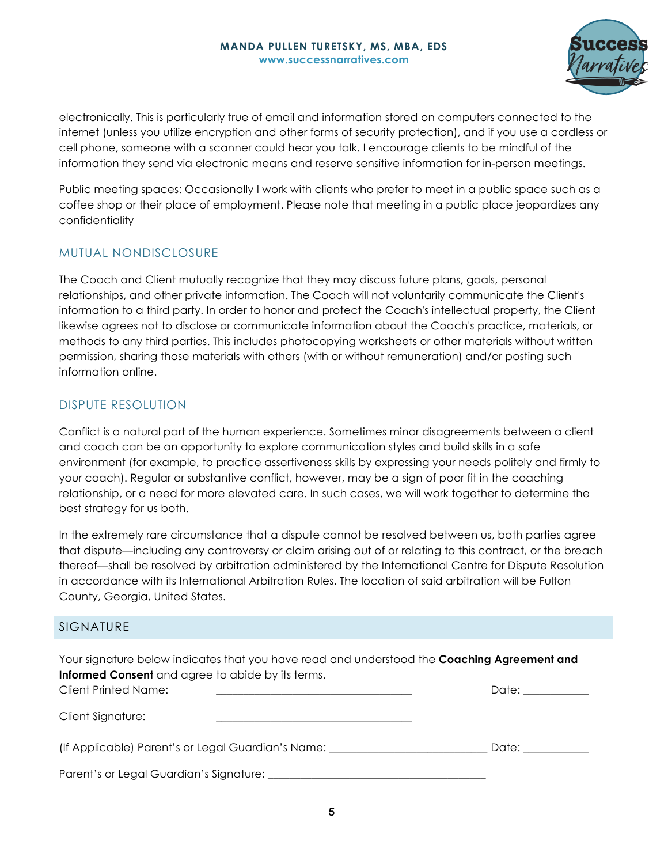

electronically. This is particularly true of email and information stored on computers connected to the internet (unless you utilize encryption and other forms of security protection), and if you use a cordless or cell phone, someone with a scanner could hear you talk. I encourage clients to be mindful of the information they send via electronic means and reserve sensitive information for in-person meetings.

Public meeting spaces: Occasionally I work with clients who prefer to meet in a public space such as a coffee shop or their place of employment. Please note that meeting in a public place jeopardizes any confidentiality

## MUTUAL NONDISCLOSURE

The Coach and Client mutually recognize that they may discuss future plans, goals, personal relationships, and other private information. The Coach will not voluntarily communicate the Client's information to a third party. In order to honor and protect the Coach's intellectual property, the Client likewise agrees not to disclose or communicate information about the Coach's practice, materials, or methods to any third parties. This includes photocopying worksheets or other materials without written permission, sharing those materials with others (with or without remuneration) and/or posting such information online.

# DISPUTE RESOLUTION

Conflict is a natural part of the human experience. Sometimes minor disagreements between a client and coach can be an opportunity to explore communication styles and build skills in a safe environment (for example, to practice assertiveness skills by expressing your needs politely and firmly to your coach). Regular or substantive conflict, however, may be a sign of poor fit in the coaching relationship, or a need for more elevated care. In such cases, we will work together to determine the best strategy for us both.

In the extremely rare circumstance that a dispute cannot be resolved between us, both parties agree that dispute—including any controversy or claim arising out of or relating to this contract, or the breach thereof—shall be resolved by arbitration administered by the International Centre for Dispute Resolution in accordance with its International Arbitration Rules. The location of said arbitration will be Fulton County, Georgia, United States.

## SIGNATURE

Your signature below indicates that you have read and understood the **Coaching Agreement and Informed Consent** and agree to abide by its terms. Client Printed Name: \_\_\_\_\_\_\_\_\_\_\_\_\_\_\_\_\_\_\_\_\_\_\_\_\_\_\_\_\_\_\_\_\_\_\_\_ Date: \_\_\_\_\_\_\_\_\_\_\_\_ Client Signature: (If Applicable) Parent's or Legal Guardian's Name: \_\_\_\_\_\_\_\_\_\_\_\_\_\_\_\_\_\_\_\_\_\_\_\_\_\_\_\_\_ Date: \_\_\_\_\_\_\_\_\_\_\_\_

Parent's or Legal Guardian's Signature: \_\_\_\_\_\_\_\_\_\_\_\_\_\_\_\_\_\_\_\_\_\_\_\_\_\_\_\_\_\_\_\_\_\_\_\_\_\_\_\_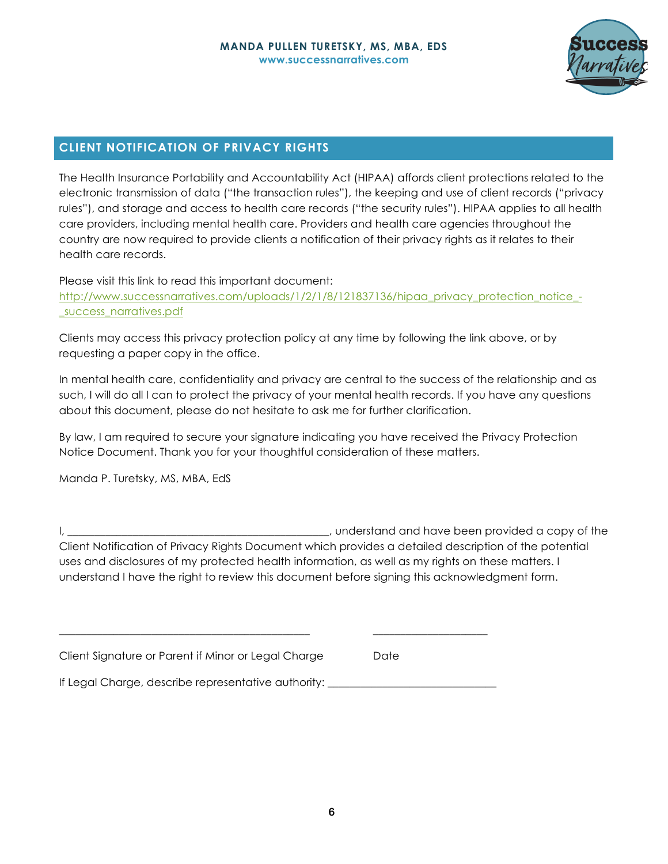

# **CLIENT NOTIFICATION OF PRIVACY RIGHTS**

The Health Insurance Portability and Accountability Act (HIPAA) affords client protections related to the electronic transmission of data ("the transaction rules"), the keeping and use of client records ("privacy rules"), and storage and access to health care records ("the security rules"). HIPAA applies to all health care providers, including mental health care. Providers and health care agencies throughout the country are now required to provide clients a notification of their privacy rights as it relates to their health care records.

Please visit this link to read this important document:

http://www.successnarratives.com/uploads/1/2/1/8/121837136/hipaa\_privacy\_protection\_notice\_-\_success\_narratives.pdf

Clients may access this privacy protection policy at any time by following the link above, or by requesting a paper copy in the office.

In mental health care, confidentiality and privacy are central to the success of the relationship and as such, I will do all I can to protect the privacy of your mental health records. If you have any questions about this document, please do not hesitate to ask me for further clarification.

By law, I am required to secure your signature indicating you have received the Privacy Protection Notice Document. Thank you for your thoughtful consideration of these matters.

Manda P. Turetsky, MS, MBA, EdS

I, \_\_\_\_\_\_\_\_\_\_\_\_\_\_\_\_\_\_\_\_\_\_\_\_\_\_\_\_\_\_\_\_\_\_\_\_\_\_\_\_\_\_\_\_\_\_\_\_, understand and have been provided a copy of the Client Notification of Privacy Rights Document which provides a detailed description of the potential uses and disclosures of my protected health information, as well as my rights on these matters. I understand I have the right to review this document before signing this acknowledgment form.

| Client Signature or Parent if Minor or Legal Charge |  | Date |
|-----------------------------------------------------|--|------|
|                                                     |  |      |

If Legal Charge, describe representative authority: \_\_\_\_\_\_\_\_\_\_\_\_\_\_\_\_\_\_\_\_\_\_\_\_\_\_\_\_

\_\_\_\_\_\_\_\_\_\_\_\_\_\_\_\_\_\_\_\_\_\_\_\_\_\_\_\_\_\_\_\_\_\_\_\_\_\_\_\_\_\_\_\_\_\_ \_\_\_\_\_\_\_\_\_\_\_\_\_\_\_\_\_\_\_\_\_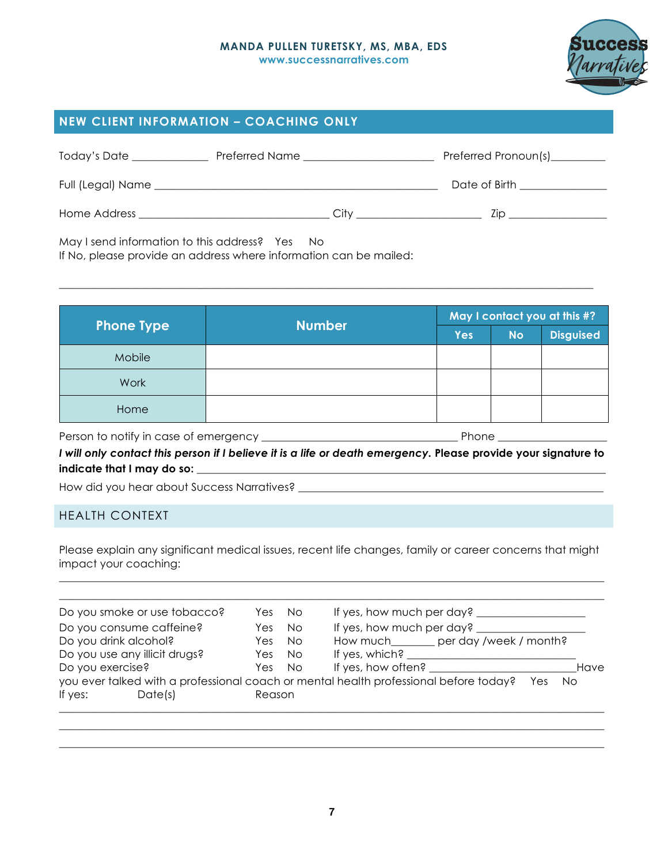

# **NEW CLIENT INFORMATION – COACHING ONLY**

| Today's Date      | Preferred Name | Preferred Pronoun(s)__________ |
|-------------------|----------------|--------------------------------|
| Full (Legal) Name |                | Date of Birth                  |
| Home Address      | Citv           | 7in                            |

May I send information to this address? Yes No

If No, please provide an address where information can be mailed:

|                   |               | May I contact you at this #? |           |                  |
|-------------------|---------------|------------------------------|-----------|------------------|
| <b>Phone Type</b> | <b>Number</b> | <b>Yes</b>                   | <b>No</b> | <b>Disguised</b> |
| Mobile            |               |                              |           |                  |
| Work              |               |                              |           |                  |
| Home              |               |                              |           |                  |

 $\_$  , and the set of the set of the set of the set of the set of the set of the set of the set of the set of the set of the set of the set of the set of the set of the set of the set of the set of the set of the set of th

Person to notify in case of emergency \_\_\_\_\_\_\_\_\_\_\_\_\_\_\_\_\_\_\_\_\_\_\_\_\_\_\_\_\_\_\_\_\_\_\_\_ Phone \_\_\_\_\_\_\_\_\_\_\_\_\_\_\_\_\_\_\_\_

*I will only contact this person if I believe it is a life or death emergency.* **Please provide your signature to**  indicate that I may do so: **with any letter and indicate** that I may do so:

How did you hear about Success Narratives?

## HEALTH CONTEXT

Please explain any significant medical issues, recent life changes, family or career concerns that might impact your coaching: \_\_\_\_\_\_\_\_\_\_\_\_\_\_\_\_\_\_\_\_\_\_\_\_\_\_\_\_\_\_\_\_\_\_\_\_\_\_\_\_\_\_\_\_\_\_\_\_\_\_\_\_\_\_\_\_\_\_\_\_\_\_\_\_\_\_\_\_\_\_\_\_\_\_\_\_\_\_\_\_\_\_\_\_\_\_\_\_\_\_\_\_\_\_\_\_\_\_\_\_

|                  | Do you smoke or use tobacco?  | Yes    | No.       | If yes, how much per day?                                                                           |      |
|------------------|-------------------------------|--------|-----------|-----------------------------------------------------------------------------------------------------|------|
|                  | Do you consume caffeine?      | Yes.   | <b>No</b> | If yes, how much per day?                                                                           |      |
|                  | Do you drink alcohol?         | Yes:   | No.       | How much_______ per day /week / month?                                                              |      |
|                  | Do you use any illicit drugs? | Yes    | <b>No</b> | If yes, which?                                                                                      |      |
| Do you exercise? |                               | Yes:   | No.       | If yes, how often?                                                                                  | Have |
|                  |                               |        |           | you ever talked with a professional coach or mental health professional before today?<br>No.<br>Yes |      |
| If yes:          | Date(s)                       | Reason |           |                                                                                                     |      |

 $\_$  , and the set of the set of the set of the set of the set of the set of the set of the set of the set of the set of the set of the set of the set of the set of the set of the set of the set of the set of the set of th \_\_\_\_\_\_\_\_\_\_\_\_\_\_\_\_\_\_\_\_\_\_\_\_\_\_\_\_\_\_\_\_\_\_\_\_\_\_\_\_\_\_\_\_\_\_\_\_\_\_\_\_\_\_\_\_\_\_\_\_\_\_\_\_\_\_\_\_\_\_\_\_\_\_\_\_\_\_\_\_\_\_\_\_\_\_\_\_\_\_\_\_\_\_\_\_\_\_\_\_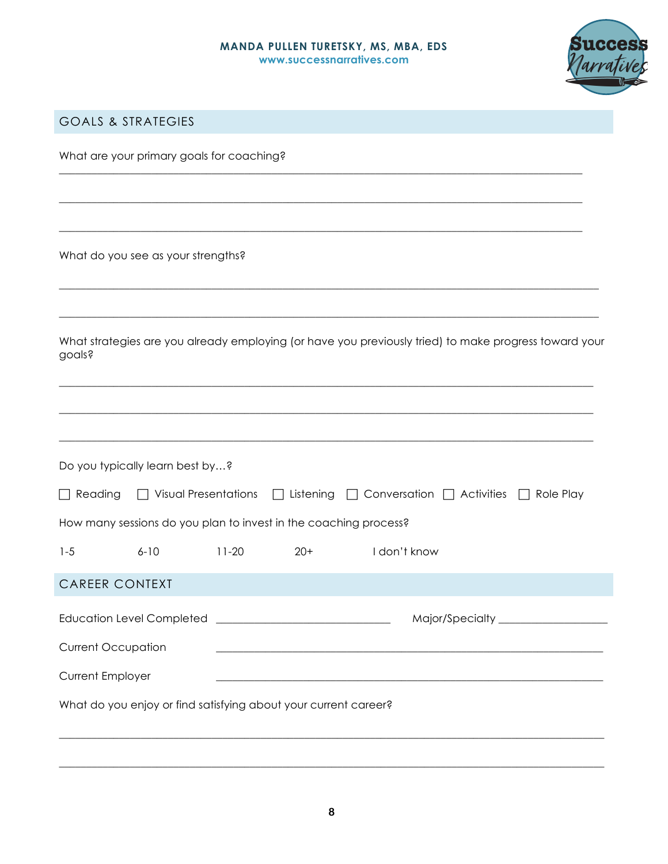\_\_\_\_\_\_\_\_\_\_\_\_\_\_\_\_\_\_\_\_\_\_\_\_\_\_\_\_\_\_\_\_\_\_\_\_\_\_\_\_\_\_\_\_\_\_\_\_\_\_\_\_\_\_\_\_\_\_\_\_\_\_\_\_\_\_\_\_\_\_\_\_\_\_\_\_\_\_\_\_\_\_\_\_\_\_\_\_\_\_\_\_\_\_\_\_

\_\_\_\_\_\_\_\_\_\_\_\_\_\_\_\_\_\_\_\_\_\_\_\_\_\_\_\_\_\_\_\_\_\_\_\_\_\_\_\_\_\_\_\_\_\_\_\_\_\_\_\_\_\_\_\_\_\_\_\_\_\_\_\_\_\_\_\_\_\_\_\_\_\_\_\_\_\_\_\_\_\_\_\_\_\_\_\_\_\_\_\_\_\_\_\_

\_\_\_\_\_\_\_\_\_\_\_\_\_\_\_\_\_\_\_\_\_\_\_\_\_\_\_\_\_\_\_\_\_\_\_\_\_\_\_\_\_\_\_\_\_\_\_\_\_\_\_\_\_\_\_\_\_\_\_\_\_\_\_\_\_\_\_\_\_\_\_\_\_\_\_\_\_\_\_\_\_\_\_\_\_\_\_\_\_\_\_\_\_\_\_\_



# GOALS & STRATEGIES

What are your primary goals for coaching?

What do you see as your strengths?

| What strategies are you already employing (or have you previously tried) to make progress toward your |  |
|-------------------------------------------------------------------------------------------------------|--|
| goals?                                                                                                |  |

 $\_$  ,  $\_$  ,  $\_$  ,  $\_$  ,  $\_$  ,  $\_$  ,  $\_$  ,  $\_$  ,  $\_$  ,  $\_$  ,  $\_$  ,  $\_$  ,  $\_$  ,  $\_$  ,  $\_$  ,  $\_$  ,  $\_$  ,  $\_$  ,  $\_$  ,  $\_$  ,  $\_$  ,  $\_$  ,  $\_$  ,  $\_$  ,  $\_$  ,  $\_$  ,  $\_$  ,  $\_$  ,  $\_$  ,  $\_$  ,  $\_$  ,  $\_$  ,  $\_$  ,  $\_$  ,  $\_$  ,  $\_$  ,  $\_$  ,

 $\_$  ,  $\_$  ,  $\_$  ,  $\_$  ,  $\_$  ,  $\_$  ,  $\_$  ,  $\_$  ,  $\_$  ,  $\_$  ,  $\_$  ,  $\_$  ,  $\_$  ,  $\_$  ,  $\_$  ,  $\_$  ,  $\_$  ,  $\_$  ,  $\_$  ,  $\_$  ,  $\_$  ,  $\_$  ,  $\_$  ,  $\_$  ,  $\_$  ,  $\_$  ,  $\_$  ,  $\_$  ,  $\_$  ,  $\_$  ,  $\_$  ,  $\_$  ,  $\_$  ,  $\_$  ,  $\_$  ,  $\_$  ,  $\_$  ,

 $\_$  ,  $\_$  ,  $\_$  ,  $\_$  ,  $\_$  ,  $\_$  ,  $\_$  ,  $\_$  ,  $\_$  ,  $\_$  ,  $\_$  ,  $\_$  ,  $\_$  ,  $\_$  ,  $\_$  ,  $\_$  ,  $\_$  ,  $\_$  ,  $\_$  ,  $\_$  ,  $\_$  ,  $\_$  ,  $\_$  ,  $\_$  ,  $\_$  ,  $\_$  ,  $\_$  ,  $\_$  ,  $\_$  ,  $\_$  ,  $\_$  ,  $\_$  ,  $\_$  ,  $\_$  ,  $\_$  ,  $\_$  ,  $\_$  ,

| Do you typically learn best by? |          |         |                                                                  |                                                                                                   |                     |
|---------------------------------|----------|---------|------------------------------------------------------------------|---------------------------------------------------------------------------------------------------|---------------------|
|                                 |          |         |                                                                  | $\Box$ Reading $\Box$ Visual Presentations $\Box$ Listening $\Box$ Conversation $\Box$ Activities | Role Play<br>$\Box$ |
|                                 |          |         | How many sessions do you plan to invest in the coaching process? |                                                                                                   |                     |
| $1 - 5$                         | $6 - 10$ | $11-20$ | $20+$                                                            | I don't know                                                                                      |                     |
| <b>CAREER CONTEXT</b>           |          |         |                                                                  |                                                                                                   |                     |
|                                 |          |         | Education Level Completed __________________________________     |                                                                                                   |                     |
| <b>Current Occupation</b>       |          |         |                                                                  |                                                                                                   |                     |
| <b>Current Employer</b>         |          |         |                                                                  |                                                                                                   |                     |

\_\_\_\_\_\_\_\_\_\_\_\_\_\_\_\_\_\_\_\_\_\_\_\_\_\_\_\_\_\_\_\_\_\_\_\_\_\_\_\_\_\_\_\_\_\_\_\_\_\_\_\_\_\_\_\_\_\_\_\_\_\_\_\_\_\_\_\_\_\_\_\_\_\_\_\_\_\_\_\_\_\_\_\_\_\_\_\_\_\_\_\_\_\_\_\_\_\_\_\_